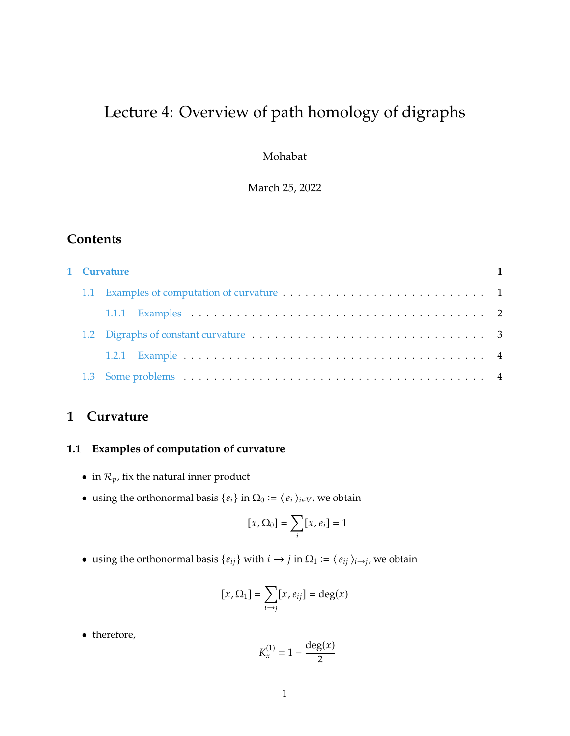# Lecture 4: Overview of path homology of digraphs

Mohabat

March 25, 2022

### **Contents**

|  | 1 Curvature |  |
|--|-------------|--|
|  |             |  |
|  |             |  |
|  |             |  |
|  |             |  |
|  |             |  |
|  |             |  |

## <span id="page-0-0"></span>**1 Curvature**

### <span id="page-0-1"></span>**1.1 Examples of computation of curvature**

- in  $\mathcal{R}_p$ , fix the natural inner product
- using the orthonormal basis  $\{e_i\}$  in  $\Omega_0 := \langle e_i \rangle_{i \in V}$ , we obtain

$$
[x,\Omega_0] = \sum_i [x,e_i] = 1
$$

• using the orthonormal basis  $\{e_{ij}\}\$  with  $i \to j$  in  $\Omega_1 := \langle e_{ij} \rangle_{i \to j}$ , we obtain

$$
[x,\Omega_1] = \sum_{i \to j} [x,e_{ij}] = \deg(x)
$$

• therefore,

$$
K_x^{(1)} = 1 - \frac{\deg(x)}{2}
$$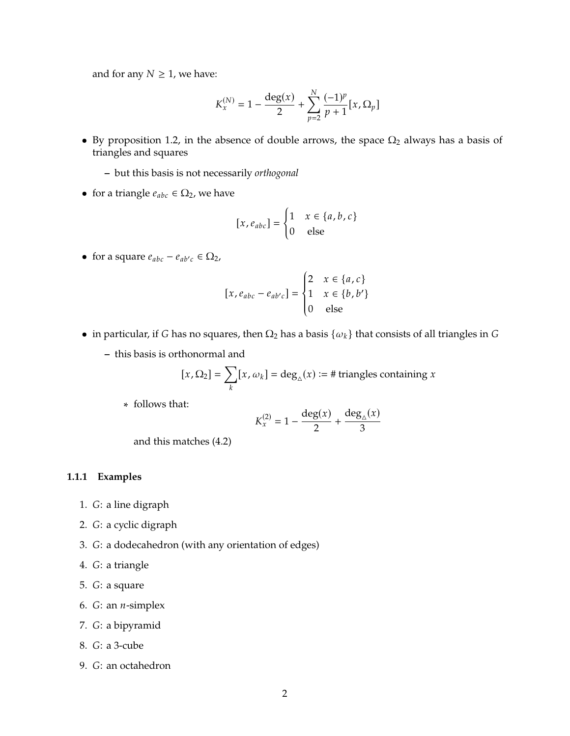and for any  $N \geq 1$ , we have:

$$
K_x^{(N)} = 1 - \frac{\deg(x)}{2} + \sum_{p=2}^{N} \frac{(-1)^p}{p+1} [x, \Omega_p]
$$

- By proposition 1.2, in the absence of double arrows, the space  $\Omega_2$  always has a basis of triangles and squares
	- **–** but this basis is not necessarily *orthogonal*
- for a triangle  $e_{abc} \in \Omega_2$ , we have

$$
[x, e_{abc}] = \begin{cases} 1 & x \in \{a, b, c\} \\ 0 & \text{else} \end{cases}
$$

• for a square  $e_{abc} - e_{ab'c} \in \Omega_2$ ,

$$
[x, e_{abc} - e_{ab'c}] = \begin{cases} 2 & x \in \{a, c\} \\ 1 & x \in \{b, b'\} \\ 0 & \text{else} \end{cases}
$$

J.

- in particular, if G has no squares, then  $\Omega_2$  has a basis  $\{\omega_k\}$  that consists of all triangles in G
	- **–** this basis is orthonormal and

$$
[x,\Omega_2] = \sum_k [x,\omega_k] = \deg_{\triangle}(x) := # \text{ triangles containing } x
$$

∗ follows that:

$$
K_x^{(2)} = 1 - \frac{\deg(x)}{2} + \frac{\deg_{\triangle}(x)}{3}
$$

and this matches (4.2)

#### <span id="page-1-0"></span>**1.1.1 Examples**

- 1. G: a line digraph
- 2. G: a cyclic digraph
- 3. G: a dodecahedron (with any orientation of edges)
- 4. G: a triangle
- 5. G: a square
- 6.  $G:$  an  $n$ -simplex
- 7. G: a bipyramid
- 8. *G*: a 3-cube
- 9. G: an octahedron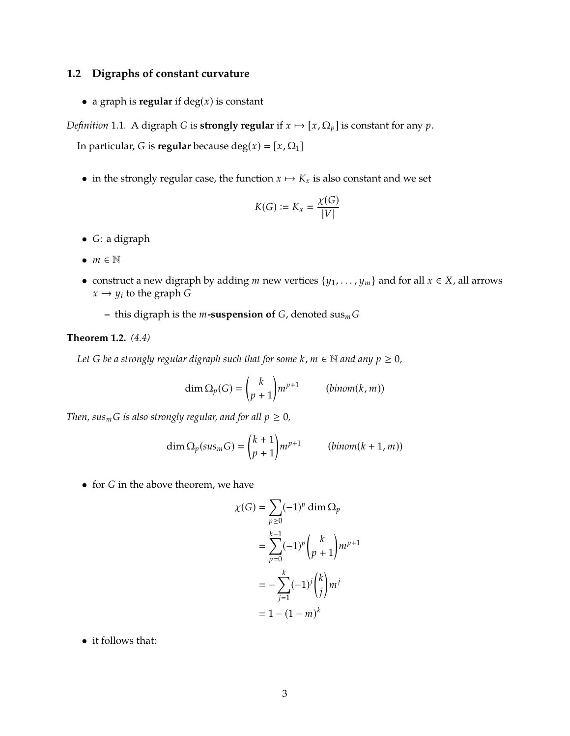#### <span id="page-2-0"></span>**1.2 Digraphs of constant curvature**

• a graph is **regular** if  $deg(x)$  is constant

*Definition* 1.1. A digraph *G* is **strongly regular** if  $x \mapsto [x, \Omega_p]$  is constant for any  $p$ .

In particular, *G* is **regular** because deg( $x$ ) = [ $x$ ,  $\Omega$ <sub>1</sub>]

• in the strongly regular case, the function  $x \mapsto K_x$  is also constant and we set

$$
K(G):=K_x=\frac{\chi(G)}{|V|}
$$

- $\bullet$  *G*: a digraph
- $m \in \mathbb{N}$
- construct a new digraph by adding  $m$  new vertices  $\{y_1, \ldots, y_m\}$  and for all  $x \in X$ , all arrows  $x \rightarrow y_i$  to the graph G
	- **–** this digraph is the  $m$ **-suspension of**  $G$ , denoted sus $_m G$

#### **Theorem 1.2.** *(4.4)*

*Let G be a strongly regular digraph such that for some*  $k$ ,  $m \in \mathbb{N}$  *and any*  $p \ge 0$ ,

$$
\dim \Omega_p(G) = \binom{k}{p+1} m^{p+1} \qquad (binom(k,m))
$$

*Then, sus*<sup>*m*</sup>*G is also strongly regular, and for all*  $p \ge 0$ *,* 

$$
\dim \Omega_p(sus_m G) = {k+1 \choose p+1} m^{p+1} \qquad (binom k+1, m)
$$

 $\bullet$  for  $G$  in the above theorem, we have

$$
\chi(G) = \sum_{p\geq 0} (-1)^p \dim \Omega_p
$$
  
= 
$$
\sum_{p=0}^{k-1} (-1)^p {k \choose p+1} m^{p+1}
$$
  
= 
$$
-\sum_{j=1}^k (-1)^j {k \choose j} m^j
$$
  
= 
$$
1 - (1 - m)^k
$$

• it follows that: